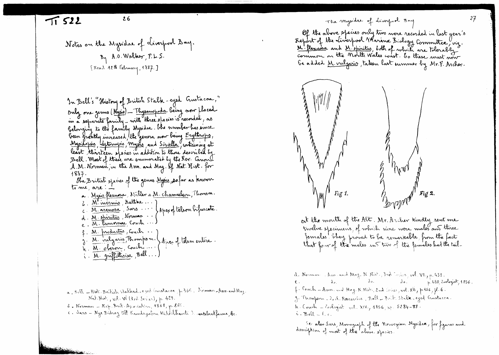}fot." \*4 M't.~ <sup>f</sup> J.~ ~i' ], A.o.w~/r.L.\$. L1\co-c\ .H ~ r-~~t1J'1 r n:?1- ]

In Bell's "History of British Stalk - eyed Gustacoa,"<br>Anhy me genus (Murie) - Thusanphoda being now flaced only one genus (<mark>My</mark>j<br>in a separate famili<br>belonging to the fan t. Thys<u>anopoda</u> being now flaced<br>(1) Thysanopoda being now flaced m a separate family - with three species is recorded, a belonging to the family Mysidae. Ohe number has since been growthy increased, the genera now being Engthrops, <u>Myridopin</u>, sexternyis, myses and <u>Siriella</u>, containing at thirteen species in addition to those described by Bell . Most of these are enumerated by the Rev. Co<br>A .M. Norman .rn the Arm. and May. If Nat. Hist *A* .M. Norman, in the Arm. and May. If Nat Hist. for<br>1887. *(j* <sup>1867</sup>.<br>Che British species of the genus <u>Music, p</u>ofar as the<br>to me, are . -

- ~ Myris flexuors, Müller = M. chamaeleer, Thomson. 6. M' mermis Matthe... }  $c. M.$ arenosa, Sars... Sars ... Japex of telson bijur<br>Norman ... d. <u>M. stichosia</u>, sais ...<br>d. <u>M. stiritus</u>, Norman ...<br>e - <u>M. lamonae</u>, souch ... e - M. lamoirae Couch. f. M. <u>Invanctus, Couch</u>. h M. oberon, Count ... g. <u>M. vulg</u>ari<br>h. M. oberon 's Thomps m. \ Apea of telsone i. <u>M. griffithsiae</u>, Bell.
- a., Bell Hirt. British Stalked-e jed inustacea<sub>, p</sub>. 335. Poiman-Ann-and Ma;<br>C  $N$ at. Mot., v $\mathcal{R}\cdot\mathsf{V}$ i (3sd Series), p. 429.
- $\delta$ . Norman  $\text{Rep}(\text{Bink}, \text{Aysch} \text{Mm}, \text{4868}, p. \text{265}).$
- 6 . Norman Kep. Brit Asiociatica, 1868, p. 255.<br>0. Sars Nye Bidraz till Kamdsgaben Milosthavets ). v**ertebratfa**wna, <mark>b</mark>e.

 $\frac{1}{\sqrt{2}}$  26  $\frac{26}{\sqrt{2}}$  26  $\frac{1}{\sqrt{2}}$  rhe mysidae of diversion 3 org

Of the above ppecies only two were recorded in last year's  $~R$ eport of the Liverpool Warrine Biology Commuttee, viz.  $_{\rm{conim}~cm}$  on the Morth Wales coast. Eo these must now be added <u>M. vulgaris</u>, taken last summer by Mr.F. Archer.



at the mouth of the Alt. Mr. Archer kindly sent .<br>truelve specimens, of which nine were males and th twelve specimens, of which nine were males and three weive specimens, of which hime were mades and the<br>fernales brey proved to be remarkable, from the fac that four of the males in this of the fermales had the tail-

d. Norman . Ann and Mag. N. Hist., 3rd Testes, vol. **VI**, p. 4  $\epsilon$ .  $\lambda_{\sigma}$   $\lambda_{\sigma}$   $\lambda_{\sigma}$   $\lambda_{\sigma}$ ,  $\lambda_{\sigma}$   $\lambda_{\sigma}$ ,  $\lambda_{\sigma}$ ,  $\lambda_{\sigma}$ ,  $\lambda_{\sigma}$ ,  $\lambda_{\sigma}$ ,  $\lambda_{\sigma}$ ,  $\lambda_{\sigma}$ ,  $\lambda_{\sigma}$ ,  $\lambda_{\sigma}$ ,  $\lambda_{\sigma}$ ,  $\lambda_{\sigma}$ ,  $\lambda_{\sigma}$ ,  $\lambda_{\sigma}$ ,  $\lambda_{\sigma}$ ,  $\lambda_{\sigma}$ ,  $\lambda_{\sigma}$ ,  $\lambda_{\sigma}$ , f . Couch - Ann. and Mag. N. Mat., 2nd Soice, wel. XII, p. 156, fl. 6. g. Thompson \_ 20,1. Restarches . Bell \_ Brit. Stalk ceyed Austacca.  $\tilde{h}$ . Couch - *Coo*logist vol. XIV, 1856, H. 5284-88  $\mathcal{C} \cdot \mathbf{Bel} = \mathcal{C} \cdot c$ .

Se: also Sars, Monograph of the Norwegian Mysidae, for figures as<br>description of most of the above spacies.  $\mu$ <sup>kion</sup> of most of the above species.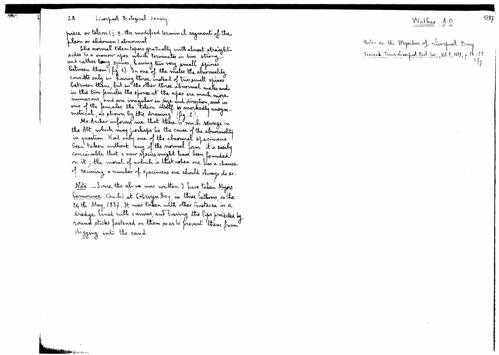## $28$  Liverpool Biological Dociety.

.<br>.,

"lIIlijliliok.."..,~-,

prece or telson ( $\underline{i}$  .  $\underline{e}$  . the modified terminal regments of the  $\,$ *~a'f~)~.J.*

bhe normal telson tapers grasually with almost straight ~..~ **to** '" *fv'\4N\~~1* ~.~ t~Ji4 <sup>~</sup> two bides to a marrow apex, which terminates in two st<br>and rather long prines, having two very small sp when the major purits, having two very small sy<br>between them (fig. 1). In one of the males the about<br>consists only in having three instead of two pmall between them, but in the other three almormal makes and consists only in having three instead of two amall spines in the two females the spines at the apex are  $\lambda$ <br>in the two females the spines at the apex are  $\lambda$ minervis, and are irregular in pize and d<br>one of the females the Felon itself **is** m<br>metrical , as phown by the drawing *[fig.* mmervins, and are irregular in size and direction, and in metrical, as shown by the drawing (fig. 2).

Mr. Ancher informs me that there is much servage is the Alt, which may perhaps be the cause of the abnormality<br>in greation. Had only one of the abnormal specimens been taken without lang of the normal form it is easily<br>conceivable that a new species might have been founded it; the moral of which is that when one flas a cf <sup>1</sup> recuring a number of specimens one should throug do so.<br>Nt= Sim that P was written 2 for the M i Note. Since the above mas written I have taken Mysi  $\frac{1}{2}$  (Couch), at Coingn Bay, in three fathoms, on the i/w<br>| ha  $e_{4}$  th May, 1887, it was taken with other Gustacea in a tredge lined nith canvas, and fraving the lips protected by<br>round sticks fastened on them so as to prevent them from<br>chaging into the sand *d~d-* <sup>~</sup> *'~I)~l.*

## $W$ alber,  $A.0$ .

*1~gf*

*i lis on the Mysidae of Liverpool Boy* Trocee**d** Trains inversive Bive Soc., Vol. 1, 1887, p. 28 - 2 *rr*